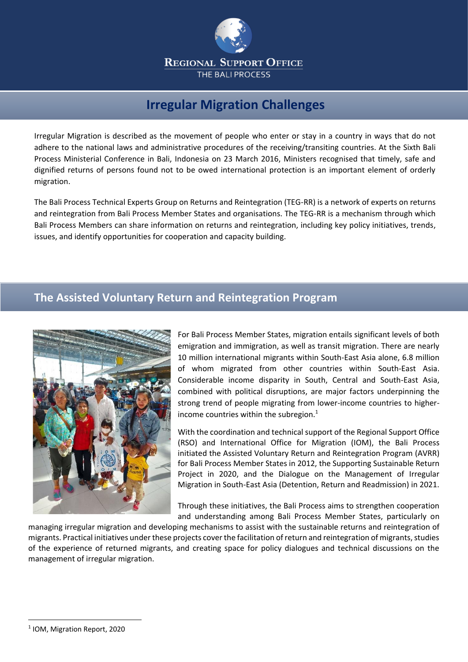

## **Irregular Migration Challenges**

Irregular Migration is described as the movement of people who enter or stay in a country in ways that do not adhere to the national laws and administrative procedures of the receiving/transiting countries. At the Sixth Bali Process Ministerial Conference in Bali, Indonesia on 23 March 2016, Ministers recognised that timely, safe and dignified returns of persons found not to be owed international protection is an important element of orderly migration.

The Bali Process Technical Experts Group on Returns and Reintegration (TEG-RR) is a network of experts on returns and reintegration from Bali Process Member States and organisations. The TEG-RR is a mechanism through which Bali Process Members can share information on returns and reintegration, including key policy initiatives, trends, issues, and identify opportunities for cooperation and capacity building.

## **The Assisted Voluntary Return and Reintegration Program**



For Bali Process Member States, migration entails significant levels of both emigration and immigration, as well as transit migration. There are nearly 10 million international migrants within South-East Asia alone, 6.8 million of whom migrated from other countries within South-East Asia. Considerable income disparity in South, Central and South-East Asia, combined with political disruptions, are major factors underpinning the strong trend of people migrating from lower-income countries to higherincome countries within the subregion. $<sup>1</sup>$ </sup>

With the coordination and technical support of the Regional Support Office (RSO) and International Office for Migration (IOM), the Bali Process initiated the Assisted Voluntary Return and Reintegration Program (AVRR) for Bali Process Member States in 2012, the Supporting Sustainable Return Project in 2020, and the Dialogue on the Management of Irregular Migration in South-East Asia (Detention, Return and Readmission) in 2021.

Through these initiatives, the Bali Process aims to strengthen cooperation and understanding among Bali Process Member States, particularly on

managing irregular migration and developing mechanisms to assist with the sustainable returns and reintegration of migrants. Practical initiatives under these projects cover the facilitation of return and reintegration of migrants, studies of the experience of returned migrants, and creating space for policy dialogues and technical discussions on the management of irregular migration.